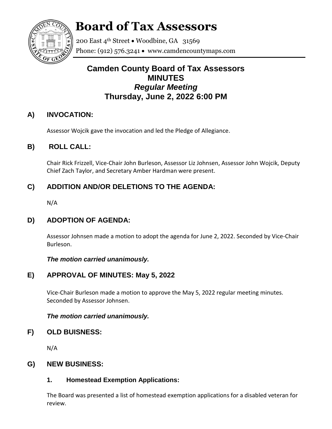

# **Board of Tax Assessors**

200 East 4<sup>th</sup> Street • Woodbine, GA 31569 Phone: (912) 576.3241  $\bullet$  www.camdencountymaps.com

# **Camden County Board of Tax Assessors MINUTES** *Regular Meeting* **Thursday, June 2, 2022 6:00 PM**

# **A) INVOCATION:**

Assessor Wojcik gave the invocation and led the Pledge of Allegiance.

# **B) ROLL CALL:**

Chair Rick Frizzell, Vice-Chair John Burleson, Assessor Liz Johnsen, Assessor John Wojcik, Deputy Chief Zach Taylor, and Secretary Amber Hardman were present.

# **C) ADDITION AND/OR DELETIONS TO THE AGENDA:**

N/A

## **D) ADOPTION OF AGENDA:**

Assessor Johnsen made a motion to adopt the agenda for June 2, 2022. Seconded by Vice-Chair Burleson.

*The motion carried unanimously.*

# **E) APPROVAL OF MINUTES: May 5, 2022**

Vice-Chair Burleson made a motion to approve the May 5, 2022 regular meeting minutes. Seconded by Assessor Johnsen.

## *The motion carried unanimously.*

## **F) OLD BUISNESS:**

N/A

## **G) NEW BUSINESS:**

## **1. Homestead Exemption Applications:**

The Board was presented a list of homestead exemption applications for a disabled veteran for review.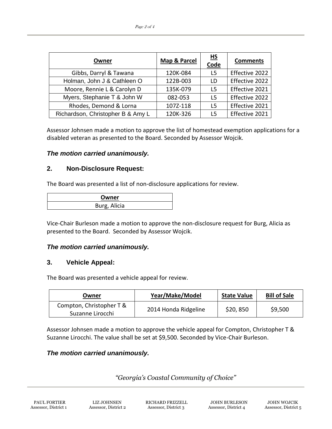| Owner                             | Map & Parcel | $\underline{HS}$<br>Code | <b>Comments</b> |
|-----------------------------------|--------------|--------------------------|-----------------|
| Gibbs, Darryl & Tawana            | 120K-084     | L5                       | Effective 2022  |
| Holman, John J & Cathleen O       | 122B-003     | ID.                      | Effective 2022  |
| Moore, Rennie L & Carolyn D       | 135K-079     | 15.                      | Effective 2021  |
| Myers, Stephanie T & John W       | 082-053      | 15                       | Effective 2022  |
| Rhodes, Demond & Lorna            | 107Z-118     | 15                       | Effective 2021  |
| Richardson, Christopher B & Amy L | 120K-326     | 15                       | Effective 2021  |

Assessor Johnsen made a motion to approve the list of homestead exemption applications for a disabled veteran as presented to the Board. Seconded by Assessor Wojcik.

#### *The motion carried unanimously.*

#### **2. Non-Disclosure Request:**

The Board was presented a list of non-disclosure applications for review.

| Owner        |  |  |
|--------------|--|--|
| Burg, Alicia |  |  |

Vice-Chair Burleson made a motion to approve the non-disclosure request for Burg, Alicia as presented to the Board. Seconded by Assessor Wojcik.

#### *The motion carried unanimously.*

#### **3. Vehicle Appeal:**

The Board was presented a vehicle appeal for review.

| Owner                                        | Year/Make/Model      | <b>State Value</b> | <b>Bill of Sale</b> |
|----------------------------------------------|----------------------|--------------------|---------------------|
| Compton, Christopher T &<br>Suzanne Lirocchi | 2014 Honda Ridgeline | \$20,850           | \$9,500             |

Assessor Johnsen made a motion to approve the vehicle appeal for Compton, Christopher T & Suzanne Lirocchi. The value shall be set at \$9,500. Seconded by Vice-Chair Burleson.

#### *The motion carried unanimously.*

*"Georgia's Coastal Community of Choice"*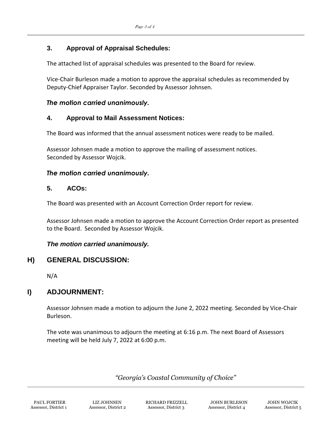### **3. Approval of Appraisal Schedules:**

The attached list of appraisal schedules was presented to the Board for review.

Vice-Chair Burleson made a motion to approve the appraisal schedules as recommended by Deputy-Chief Appraiser Taylor. Seconded by Assessor Johnsen.

#### *The motion carried unanimously.*

#### **4. Approval to Mail Assessment Notices:**

The Board was informed that the annual assessment notices were ready to be mailed.

Assessor Johnsen made a motion to approve the mailing of assessment notices. Seconded by Assessor Wojcik.

#### *The motion carried unanimously.*

#### **5. ACOs:**

The Board was presented with an Account Correction Order report for review.

Assessor Johnsen made a motion to approve the Account Correction Order report as presented to the Board. Seconded by Assessor Wojcik.

#### *The motion carried unanimously.*

#### **H) GENERAL DISCUSSION:**

N/A

## **I) ADJOURNMENT:**

Assessor Johnsen made a motion to adjourn the June 2, 2022 meeting. Seconded by Vice-Chair Burleson.

The vote was unanimous to adjourn the meeting at 6:16 p.m. The next Board of Assessors meeting will be held July 7, 2022 at 6:00 p.m.

## *"Georgia's Coastal Community of Choice"*